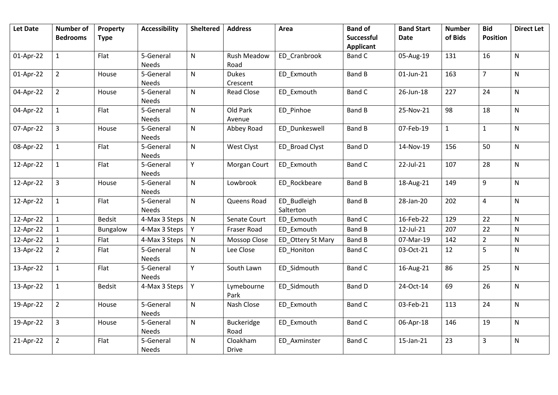|           | <b>Bedrooms</b><br>$\mathbf{1}$ | <b>Type</b>   |                           |              |                          |                   | Successful       | <b>Date</b> | of Bids      | <b>Position</b> |              |
|-----------|---------------------------------|---------------|---------------------------|--------------|--------------------------|-------------------|------------------|-------------|--------------|-----------------|--------------|
|           |                                 |               |                           |              |                          |                   | <b>Applicant</b> |             |              |                 |              |
| 01-Apr-22 |                                 | Flat          | 5-General                 | $\mathsf{N}$ | <b>Rush Meadow</b>       | ED Cranbrook      | Band C           | 05-Aug-19   | 131          | 16              | $\mathsf{N}$ |
|           |                                 |               | <b>Needs</b>              |              | Road                     |                   |                  |             |              |                 |              |
| 01-Apr-22 | $\overline{2}$                  | House         | 5-General                 | ${\sf N}$    | <b>Dukes</b>             | ED_Exmouth        | <b>Band B</b>    | 01-Jun-21   | 163          | $\overline{7}$  | $\mathsf{N}$ |
|           |                                 |               | <b>Needs</b>              |              | Crescent                 |                   |                  |             |              |                 |              |
| 04-Apr-22 | $\overline{2}$                  | House         | 5-General<br><b>Needs</b> | $\mathsf{N}$ | <b>Read Close</b>        | ED Exmouth        | Band C           | 26-Jun-18   | 227          | 24              | $\mathsf{N}$ |
| 04-Apr-22 | $\mathbf{1}$                    | Flat          | 5-General                 | $\mathsf{N}$ | Old Park                 | ED Pinhoe         | <b>Band B</b>    | 25-Nov-21   | 98           | 18              | $\mathsf{N}$ |
|           |                                 |               | Needs                     |              | Avenue                   |                   |                  |             |              |                 |              |
| 07-Apr-22 | $\overline{3}$                  | House         | 5-General<br>Needs        | $\mathsf{N}$ | Abbey Road               | ED Dunkeswell     | <b>Band B</b>    | 07-Feb-19   | $\mathbf{1}$ | $\mathbf{1}$    | $\mathsf{N}$ |
| 08-Apr-22 | $\mathbf{1}$                    | Flat          | 5-General                 | $\mathsf{N}$ | West Clyst               | ED Broad Clyst    | <b>Band D</b>    | 14-Nov-19   | 156          | 50              | $\mathsf{N}$ |
|           |                                 |               | Needs                     |              |                          |                   |                  |             |              |                 |              |
| 12-Apr-22 | $\mathbf{1}$                    | Flat          | 5-General<br><b>Needs</b> | Y            | Morgan Court             | ED_Exmouth        | <b>Band C</b>    | 22-Jul-21   | 107          | 28              | $\mathsf{N}$ |
| 12-Apr-22 | $\overline{3}$                  | House         | 5-General                 | $\mathsf{N}$ | Lowbrook                 | ED_Rockbeare      | <b>Band B</b>    | 18-Aug-21   | 149          | 9               | N            |
|           |                                 |               | Needs                     |              |                          |                   |                  |             |              |                 |              |
| 12-Apr-22 | $\mathbf{1}$                    | Flat          | 5-General                 | $\mathsf{N}$ | Queens Road              | ED_Budleigh       | <b>Band B</b>    | 28-Jan-20   | 202          | $\overline{4}$  | N            |
|           | $\mathbf{1}$                    | <b>Bedsit</b> | Needs                     | ${\sf N}$    |                          | Salterton         | <b>Band C</b>    | 16-Feb-22   | 129          | 22              | $\mathsf{N}$ |
| 12-Apr-22 |                                 |               | 4-Max 3 Steps             |              | Senate Court             | ED_Exmouth        |                  |             |              |                 |              |
| 12-Apr-22 | 1                               | Bungalow      | 4-Max 3 Steps             | Y            | Fraser Road              | ED Exmouth        | <b>Band B</b>    | 12-Jul-21   | 207          | 22              | N            |
| 12-Apr-22 |                                 | Flat          | 4-Max 3 Steps             | ${\sf N}$    | Mossop Close             | ED_Ottery St Mary | <b>Band B</b>    | 07-Mar-19   | 142          | $\overline{2}$  | N            |
| 13-Apr-22 | $\overline{2}$                  | Flat          | 5-General<br>Needs        | ${\sf N}$    | Lee Close                | ED_Honiton        | <b>Band C</b>    | 03-Oct-21   | 12           | 5               | N            |
| 13-Apr-22 | $\mathbf{1}$                    | Flat          | 5-General<br>Needs        | Y            | South Lawn               | ED Sidmouth       | <b>Band C</b>    | 16-Aug-21   | 86           | 25              | $\mathsf{N}$ |
| 13-Apr-22 | $\mathbf{1}$                    | <b>Bedsit</b> | 4-Max 3 Steps             | Y            | Lymebourne<br>Park       | ED_Sidmouth       | <b>Band D</b>    | 24-Oct-14   | 69           | 26              | $\mathsf{N}$ |
| 19-Apr-22 | $\overline{2}$                  | House         | 5-General                 | ${\sf N}$    | Nash Close               | ED Exmouth        | <b>Band C</b>    | 03-Feb-21   | 113          | 24              | $\mathsf{N}$ |
|           |                                 |               | Needs                     |              |                          |                   |                  |             |              |                 |              |
| 19-Apr-22 | $\mathbf{3}$                    | House         | 5-General<br>Needs        | ${\sf N}$    | Buckeridge<br>Road       | ED_Exmouth        | <b>Band C</b>    | 06-Apr-18   | 146          | 19              | N            |
| 21-Apr-22 | $\overline{2}$                  | Flat          | 5-General<br>Needs        | $\mathsf{N}$ | Cloakham<br><b>Drive</b> | ED_Axminster      | Band C           | 15-Jan-21   | 23           | 3               | N            |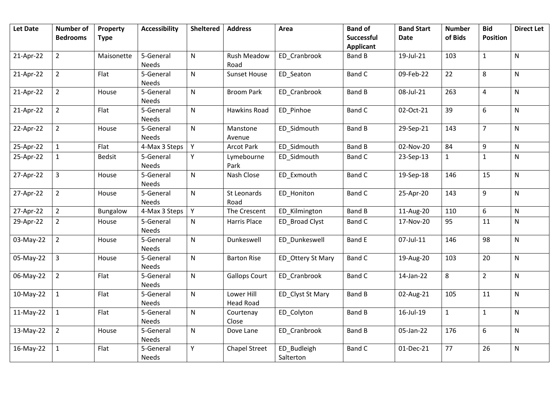| <b>Let Date</b> | Number of<br><b>Bedrooms</b> | Property<br><b>Type</b> | <b>Accessibility</b>      | <b>Sheltered</b> | <b>Address</b>                 | Area                     | <b>Band of</b><br><b>Successful</b> | <b>Band Start</b><br><b>Date</b> | <b>Number</b><br>of Bids | <b>Bid</b><br><b>Position</b> | <b>Direct Let</b> |
|-----------------|------------------------------|-------------------------|---------------------------|------------------|--------------------------------|--------------------------|-------------------------------------|----------------------------------|--------------------------|-------------------------------|-------------------|
|                 |                              |                         |                           |                  |                                |                          | <b>Applicant</b>                    |                                  |                          |                               |                   |
| 21-Apr-22       | $\overline{2}$               | Maisonette              | 5-General<br>Needs        | $\mathsf{N}$     | Rush Meadow<br>Road            | ED Cranbrook             | <b>Band B</b>                       | 19-Jul-21                        | 103                      | $\mathbf{1}$                  | N                 |
| 21-Apr-22       | $\overline{2}$               | Flat                    | 5-General<br>Needs        | $\mathsf{N}$     | Sunset House                   | ED_Seaton                | <b>Band C</b>                       | 09-Feb-22                        | 22                       | 8                             | N                 |
| 21-Apr-22       | $\overline{2}$               | House                   | 5-General<br>Needs        | $\mathsf{N}$     | <b>Broom Park</b>              | ED_Cranbrook             | <b>Band B</b>                       | 08-Jul-21                        | 263                      | $\overline{\mathbf{4}}$       | N                 |
| 21-Apr-22       | $\overline{2}$               | Flat                    | 5-General<br>Needs        | $\mathsf{N}$     | Hawkins Road                   | ED_Pinhoe                | <b>Band C</b>                       | 02-Oct-21                        | 39                       | 6                             | N                 |
| 22-Apr-22       | $\overline{2}$               | House                   | 5-General<br>Needs        | $\mathsf{N}$     | Manstone<br>Avenue             | ED_Sidmouth              | <b>Band B</b>                       | 29-Sep-21                        | 143                      | $\overline{7}$                | N                 |
| 25-Apr-22       | $\mathbf{1}$                 | Flat                    | 4-Max 3 Steps             | Y                | <b>Arcot Park</b>              | ED Sidmouth              | <b>Band B</b>                       | 02-Nov-20                        | 84                       | 9                             | ${\sf N}$         |
| 25-Apr-22       | $\mathbf{1}$                 | <b>Bedsit</b>           | 5-General<br><b>Needs</b> | Y                | Lymebourne<br>Park             | ED Sidmouth              | <b>Band C</b>                       | 23-Sep-13                        | $\mathbf{1}$             | $\mathbf{1}$                  | N                 |
| 27-Apr-22       | $\overline{3}$               | House                   | 5-General<br>Needs        | $\mathsf{N}$     | Nash Close                     | ED Exmouth               | <b>Band C</b>                       | 19-Sep-18                        | 146                      | 15                            | N                 |
| 27-Apr-22       | $\overline{2}$               | House                   | 5-General<br>Needs        | $\mathsf{N}$     | St Leonards<br>Road            | ED_Honiton               | <b>Band C</b>                       | 25-Apr-20                        | 143                      | 9                             | N                 |
| 27-Apr-22       | $\overline{2}$               | Bungalow                | 4-Max 3 Steps             | Y                | The Crescent                   | ED Kilmington            | <b>Band B</b>                       | 11-Aug-20                        | 110                      | 6                             | N                 |
| 29-Apr-22       | $\overline{2}$               | House                   | 5-General<br>Needs        | $\mathsf{N}$     | <b>Harris Place</b>            | ED Broad Clyst           | <b>Band C</b>                       | 17-Nov-20                        | 95                       | 11                            | N                 |
| 03-May-22       | $\overline{2}$               | House                   | 5-General<br>Needs        | $\mathsf{N}$     | Dunkeswell                     | ED_Dunkeswell            | <b>Band E</b>                       | 07-Jul-11                        | 146                      | 98                            | N                 |
| 05-May-22       | $\overline{3}$               | House                   | 5-General<br>Needs        | $\mathsf{N}$     | <b>Barton Rise</b>             | ED_Ottery St Mary        | <b>Band C</b>                       | 19-Aug-20                        | 103                      | 20                            | N                 |
| 06-May-22       | $\overline{2}$               | Flat                    | 5-General<br>Needs        | $\mathsf{N}$     | <b>Gallops Court</b>           | ED_Cranbrook             | <b>Band C</b>                       | 14-Jan-22                        | 8                        | $\overline{2}$                | N                 |
| 10-May-22       | $\mathbf{1}$                 | Flat                    | 5-General<br>Needs        | $\mathsf{N}$     | Lower Hill<br><b>Head Road</b> | ED_Clyst St Mary         | <b>Band B</b>                       | 02-Aug-21                        | 105                      | 11                            | N                 |
| 11-May-22       | $\mathbf{1}$                 | Flat                    | 5-General<br>Needs        | $\mathsf{N}$     | Courtenay<br>Close             | ED_Colyton               | <b>Band B</b>                       | 16-Jul-19                        | $\mathbf{1}$             | $\mathbf{1}$                  | N                 |
| 13-May-22       | $\overline{2}$               | House                   | 5-General<br>Needs        | $\mathsf{N}$     | Dove Lane                      | ED_Cranbrook             | <b>Band B</b>                       | 05-Jan-22                        | 176                      | 6                             | N                 |
| 16-May-22       | $\mathbf{1}$                 | Flat                    | 5-General<br>Needs        | Y                | <b>Chapel Street</b>           | ED_Budleigh<br>Salterton | <b>Band C</b>                       | 01-Dec-21                        | 77                       | 26                            | N                 |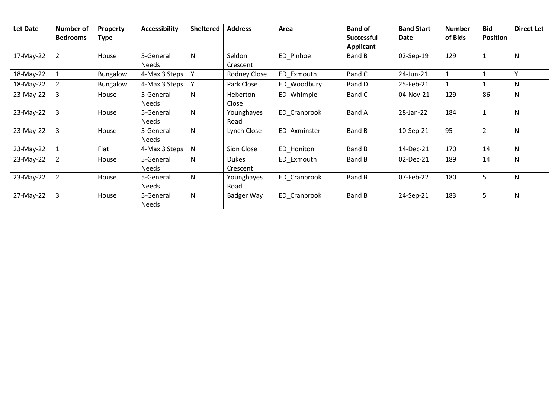| Let Date  | Number of<br><b>Bedrooms</b> | <b>Property</b><br><b>Type</b> | <b>Accessibility</b> | <b>Sheltered</b> | <b>Address</b>           | Area         | <b>Band of</b><br><b>Successful</b><br><b>Applicant</b> | <b>Band Start</b><br>Date | <b>Number</b><br>of Bids | <b>Bid</b><br><b>Position</b> | <b>Direct Let</b> |
|-----------|------------------------------|--------------------------------|----------------------|------------------|--------------------------|--------------|---------------------------------------------------------|---------------------------|--------------------------|-------------------------------|-------------------|
| 17-May-22 | 2                            | House                          | 5-General<br>Needs   | N                | Seldon<br>Crescent       | ED Pinhoe    | Band B                                                  | 02-Sep-19                 | 129                      | $\mathbf{1}$                  | N                 |
| 18-May-22 |                              | Bungalow                       | 4-Max 3 Steps        | Y                | Rodney Close             | ED Exmouth   | Band C                                                  | 24-Jun-21                 |                          | 1                             | v                 |
| 18-May-22 | 2                            | <b>Bungalow</b>                | 4-Max 3 Steps        | Y                | Park Close               | ED Woodbury  | Band D                                                  | 25-Feb-21                 |                          |                               | N.                |
| 23-May-22 | 3                            | House                          | 5-General<br>Needs   | N                | Heberton<br>Close        | ED Whimple   | Band C                                                  | 04-Nov-21                 | 129                      | 86                            | N                 |
| 23-May-22 | 3                            | House                          | 5-General<br>Needs   | N                | Younghayes<br>Road       | ED Cranbrook | Band A                                                  | 28-Jan-22                 | 184                      | $\mathbf{1}$                  | N                 |
| 23-May-22 | 3                            | House                          | 5-General<br>Needs   | N                | Lynch Close              | ED Axminster | Band B                                                  | 10-Sep-21                 | 95                       | $\overline{2}$                | N                 |
| 23-May-22 |                              | Flat                           | 4-Max 3 Steps        | N                | Sion Close               | ED Honiton   | Band B                                                  | 14-Dec-21                 | 170                      | 14                            | N                 |
| 23-May-22 | $\overline{2}$               | House                          | 5-General<br>Needs   | N                | <b>Dukes</b><br>Crescent | ED Exmouth   | Band B                                                  | 02-Dec-21                 | 189                      | 14                            | N                 |
| 23-May-22 | $\overline{2}$               | House                          | 5-General<br>Needs   | N                | Younghayes<br>Road       | ED Cranbrook | <b>Band B</b>                                           | 07-Feb-22                 | 180                      | 5                             | N                 |
| 27-May-22 | 3                            | House                          | 5-General<br>Needs   | N                | Badger Way               | ED Cranbrook | Band B                                                  | 24-Sep-21                 | 183                      | 5                             | N                 |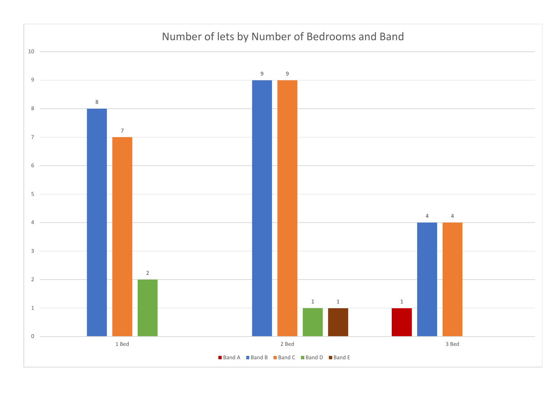